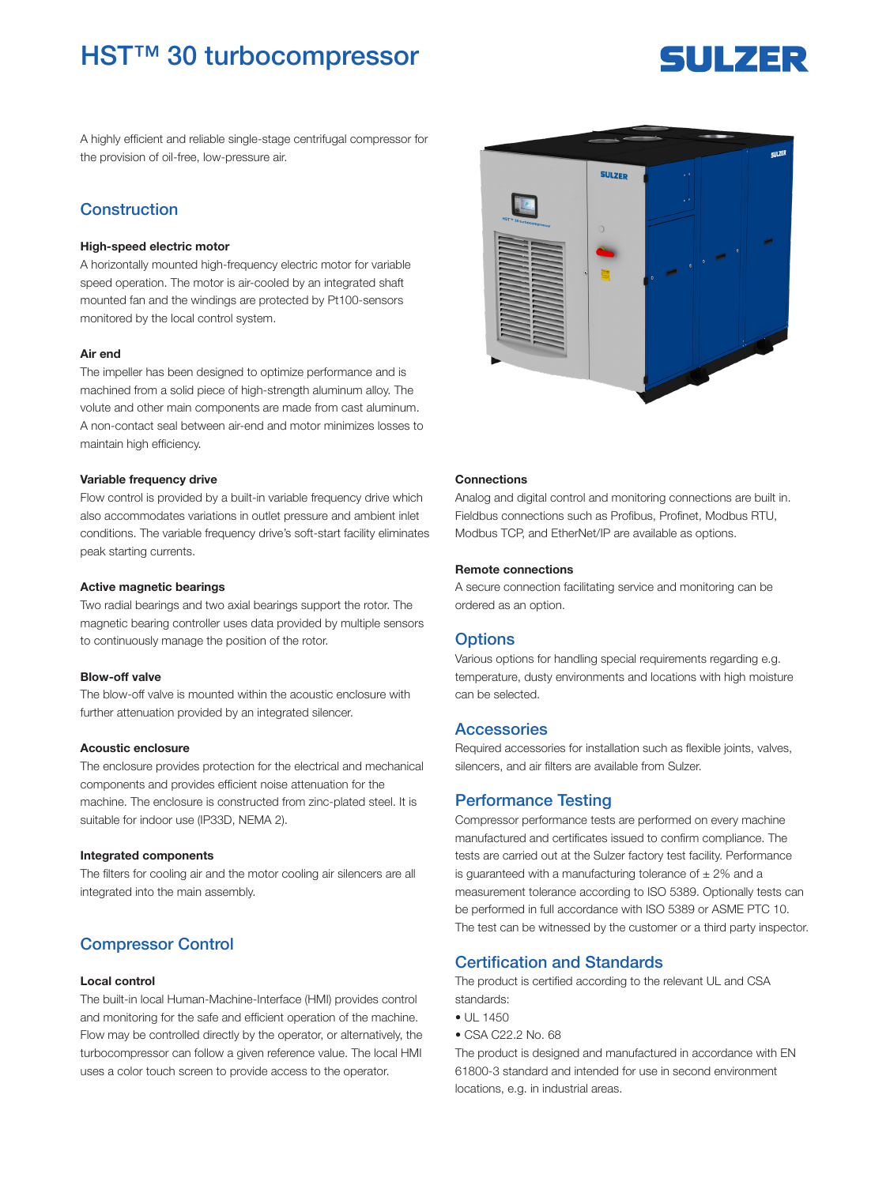## HST™ 30 turbocompressor

# SUILZER

A highly efficient and reliable single-stage centrifugal compressor for the provision of oil-free, low-pressure air.

## **Construction**

#### High-speed electric motor

A horizontally mounted high-frequency electric motor for variable speed operation. The motor is air-cooled by an integrated shaft mounted fan and the windings are protected by Pt100-sensors monitored by the local control system.

#### Air end

The impeller has been designed to optimize performance and is machined from a solid piece of high-strength aluminum alloy. The volute and other main components are made from cast aluminum. A non-contact seal between air-end and motor minimizes losses to maintain high efficiency.

#### Variable frequency drive

Flow control is provided by a built-in variable frequency drive which also accommodates variations in outlet pressure and ambient inlet conditions. The variable frequency drive's soft-start facility eliminates peak starting currents.

#### Active magnetic bearings

Two radial bearings and two axial bearings support the rotor. The magnetic bearing controller uses data provided by multiple sensors to continuously manage the position of the rotor.

#### Blow-off valve

The blow-off valve is mounted within the acoustic enclosure with further attenuation provided by an integrated silencer.

#### Acoustic enclosure

The enclosure provides protection for the electrical and mechanical components and provides efficient noise attenuation for the machine. The enclosure is constructed from zinc-plated steel. It is suitable for indoor use (IP33D, NEMA 2).

#### Integrated components

The filters for cooling air and the motor cooling air silencers are all integrated into the main assembly.

## Compressor Control

#### Local control

The built-in local Human-Machine-Interface (HMI) provides control and monitoring for the safe and efficient operation of the machine. Flow may be controlled directly by the operator, or alternatively, the turbocompressor can follow a given reference value. The local HMI uses a color touch screen to provide access to the operator.



#### **Connections**

Analog and digital control and monitoring connections are built in. Fieldbus connections such as Profibus, Profinet, Modbus RTU, Modbus TCP, and EtherNet/IP are available as options.

#### Remote connections

A secure connection facilitating service and monitoring can be ordered as an option.

#### **Options**

Various options for handling special requirements regarding e.g. temperature, dusty environments and locations with high moisture can be selected.

#### **Accessories**

Required accessories for installation such as flexible joints, valves, silencers, and air filters are available from Sulzer.

#### Performance Testing

Compressor performance tests are performed on every machine manufactured and certificates issued to confirm compliance. The tests are carried out at the Sulzer factory test facility. Performance is guaranteed with a manufacturing tolerance of  $\pm 2\%$  and a measurement tolerance according to ISO 5389. Optionally tests can be performed in full accordance with ISO 5389 or ASME PTC 10. The test can be witnessed by the customer or a third party inspector.

## Certification and Standards

The product is certified according to the relevant UL and CSA standards:

- $11 1450$
- CSA C22.2 No. 68

The product is designed and manufactured in accordance with EN 61800-3 standard and intended for use in second environment locations, e.g. in industrial areas.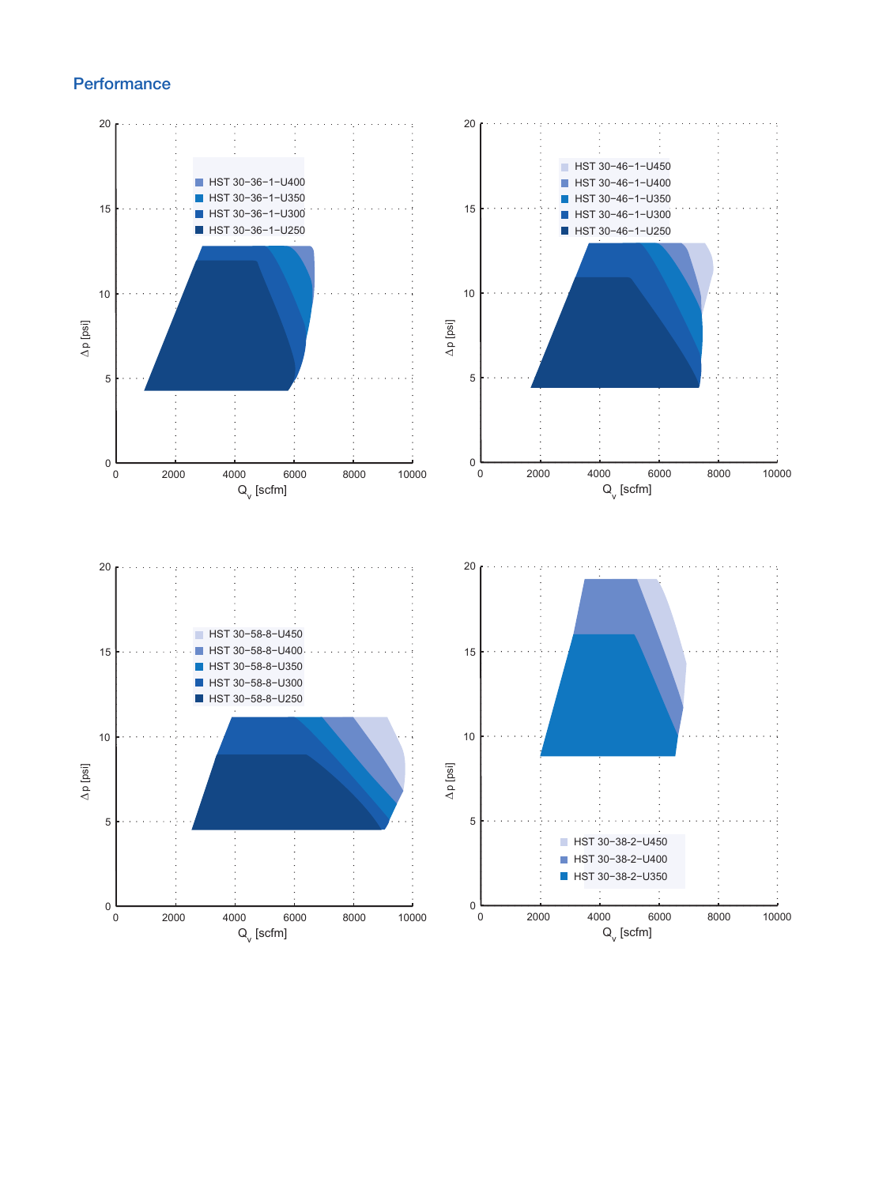## **Performance**

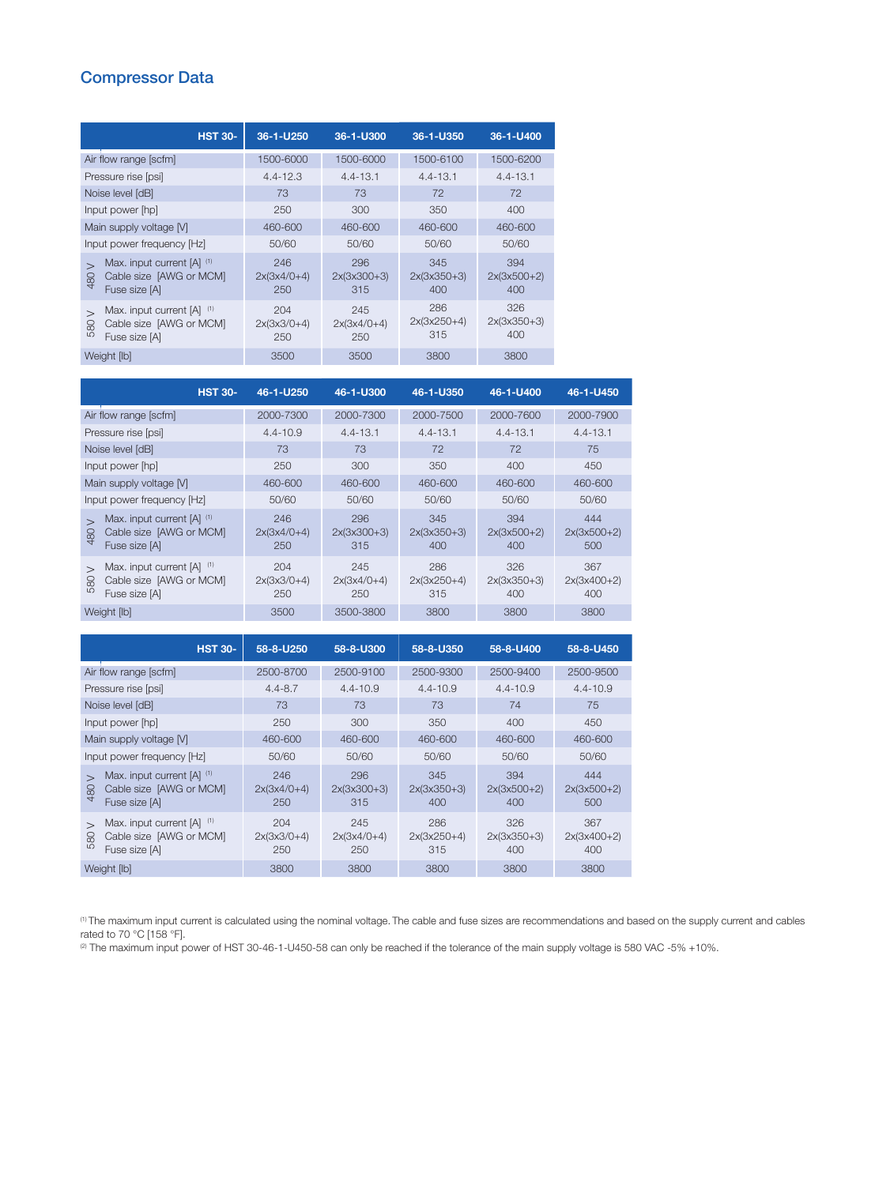## Compressor Data

| <b>HST 30-</b>                                                                                                            | 36-1-U250                   | 36-1-U300                   | 36-1-U350                   | 36-1-U400                   |
|---------------------------------------------------------------------------------------------------------------------------|-----------------------------|-----------------------------|-----------------------------|-----------------------------|
| Air flow range [scfm]                                                                                                     | 1500-6000                   | 1500-6000                   | 1500-6100                   | 1500-6200                   |
| Pressure rise [psi]                                                                                                       | $4.4 - 12.3$                | $4.4 - 13.1$                | $4.4 - 13.1$                | $4.4 - 13.1$                |
| Noise level [dB]                                                                                                          | 73                          | 73                          | 72                          | 72                          |
| Input power [hp]                                                                                                          | 250                         | 300                         | 350                         | 400                         |
| Main supply voltage [V]                                                                                                   | 460-600                     | 460-600                     | 460-600                     | 460-600                     |
| Input power frequency [Hz]                                                                                                | 50/60                       | 50/60                       | 50/60                       | 50/60                       |
| Max. input current [A] (1)<br>$\overline{\phantom{0}}$<br>Cable size [AWG or MCM]<br>8<br>$\overline{4}$<br>Fuse size [A] | 246<br>$2x(3x4/0+4)$<br>250 | 296<br>$2x(3x300+3)$<br>315 | 345<br>$2x(3x350+3)$<br>400 | 394<br>$2x(3x500+2)$<br>400 |
| (1)<br>Max. input current [A]<br>$\overline{\phantom{0}}$<br>Cable size [AWG or MCM]<br>8<br>LO<br>Fuse size [A]          | 204<br>$2x(3x3/0+4)$<br>250 | 245<br>$2x(3x4/0+4)$<br>250 | 286<br>$2x(3x250+4)$<br>315 | 326<br>$2x(3x350+3)$<br>400 |
| Weight [lb]                                                                                                               | 3500                        | 3500                        | 3800                        | 3800                        |

| <b>HST 30-</b>                                                                                            | 46-1-U250                   | 46-1-U300                   | 46-1-U350                   | 46-1-U400                   | 46-1-U450                   |
|-----------------------------------------------------------------------------------------------------------|-----------------------------|-----------------------------|-----------------------------|-----------------------------|-----------------------------|
| Air flow range [scfm]                                                                                     | 2000-7300                   | 2000-7300                   | 2000-7500                   | 2000-7600                   | 2000-7900                   |
| Pressure rise [psi]                                                                                       | $4.4 - 10.9$                | $4.4 - 13.1$                | $4.4 - 13.1$                | $4.4 - 13.1$                | $4.4 - 13.1$                |
| Noise level [dB]                                                                                          | 73                          | 73                          | 72                          | 72                          | 75                          |
| Input power [hp]                                                                                          | 250                         | 300                         | 350                         | 400                         | 450                         |
| Main supply voltage [V]                                                                                   | 460-600                     | 460-600                     | 460-600                     | 460-600                     | 460-600                     |
| Input power frequency [Hz]                                                                                | 50/60                       | 50/60                       | 50/60                       | 50/60                       | 50/60                       |
| Max. input current [A] (1)<br>Cable size [AWG or MCM]<br>480<br>Fuse size [A]                             | 246<br>$2x(3x4/0+4)$<br>250 | 296<br>$2x(3x300+3)$<br>315 | 345<br>$2x(3x350+3)$<br>400 | 394<br>$2x(3x500+2)$<br>400 | 444<br>$2x(3x500+2)$<br>500 |
| Max. input current [A] (1)<br>$\overline{\phantom{0}}$<br>Cable size [AWG or MCM]<br>580<br>Fuse size [A] | 204<br>$2x(3x3/0+4)$<br>250 | 245<br>$2x(3x4/0+4)$<br>250 | 286<br>$2x(3x250+4)$<br>315 | 326<br>$2x(3x350+3)$<br>400 | 367<br>$2x(3x400+2)$<br>400 |
| Weight [lb]                                                                                               | 3500                        | 3500-3800                   | 3800                        | 3800                        | 3800                        |

| <b>HST 30-</b>                                                                                                            | 58-8-U250                   | 58-8-U300                   | 58-8-U350                   | 58-8-U400                   | 58-8-U450                   |
|---------------------------------------------------------------------------------------------------------------------------|-----------------------------|-----------------------------|-----------------------------|-----------------------------|-----------------------------|
| Air flow range [scfm]                                                                                                     | 2500-8700                   | 2500-9100                   | 2500-9300                   | 2500-9400                   | 2500-9500                   |
| Pressure rise [psi]                                                                                                       | $4.4 - 8.7$                 | $4.4 - 10.9$                | $4.4 - 10.9$                | $4.4 - 10.9$                | $4.4 - 10.9$                |
| Noise level [dB]                                                                                                          | 73                          | 73                          | 73                          | 74                          | 75                          |
| Input power [hp]                                                                                                          | 250                         | 300                         | 350                         | 400                         | 450                         |
| Main supply voltage [V]                                                                                                   | 460-600                     | 460-600                     | 460-600                     | 460-600                     | 460-600                     |
| Input power frequency [Hz]                                                                                                | 50/60                       | 50/60                       | 50/60                       | 50/60                       | 50/60                       |
| Max. input current [A] (1)<br>$\overline{\phantom{0}}$<br>Cable size [AWG or MCM]<br>480<br>Fuse size [A]                 | 246<br>$2x(3x4/0+4)$<br>250 | 296<br>$2x(3x300+3)$<br>315 | 345<br>$2x(3x350+3)$<br>400 | 394<br>$2x(3x500+2)$<br>400 | 444<br>$2x(3x500+2)$<br>500 |
| Max. input current [A] (1)<br>$\overline{\phantom{0}}$<br>Cable size [AWG or MCM]<br>8<br>L <sub>O</sub><br>Fuse size [A] | 204<br>$2x(3x3/0+4)$<br>250 | 245<br>$2x(3x4/0+4)$<br>250 | 286<br>$2x(3x250+4)$<br>315 | 326<br>$2x(3x350+3)$<br>400 | 367<br>$2x(3x400+2)$<br>400 |
| Weight [lb]                                                                                                               | 3800                        | 3800                        | 3800                        | 3800                        | 3800                        |

<sup>(1)</sup> The maximum input current is calculated using the nominal voltage. The cable and fuse sizes are recommendations and based on the supply current and cables rated to 70 °C [158 °F].

 $^{(2)}$  The maximum input power of HST 30-46-1-U450-58 can only be reached if the tolerance of the main supply voltage is 580 VAC -5% +10%.